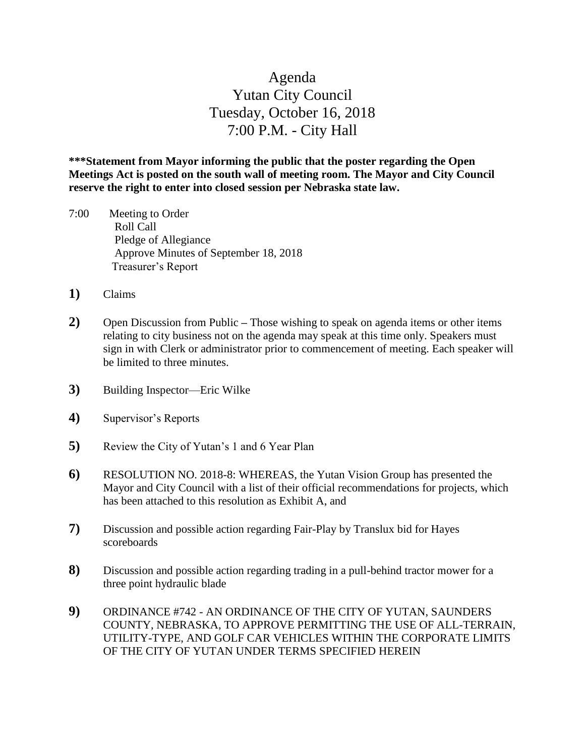## Agenda Yutan City Council Tuesday, October 16, 2018 7:00 P.M. - City Hall

**\*\*\*Statement from Mayor informing the public that the poster regarding the Open Meetings Act is posted on the south wall of meeting room. The Mayor and City Council reserve the right to enter into closed session per Nebraska state law.**

- 7:00 Meeting to Order Roll Call Pledge of Allegiance Approve Minutes of September 18, 2018 Treasurer's Report
- **1)** Claims
- **2)** Open Discussion from Public **–** Those wishing to speak on agenda items or other items relating to city business not on the agenda may speak at this time only. Speakers must sign in with Clerk or administrator prior to commencement of meeting. Each speaker will be limited to three minutes.
- **3)** Building Inspector—Eric Wilke
- **4)** Supervisor's Reports
- **5)** Review the City of Yutan's 1 and 6 Year Plan
- **6)** RESOLUTION NO. 2018-8: WHEREAS, the Yutan Vision Group has presented the Mayor and City Council with a list of their official recommendations for projects, which has been attached to this resolution as Exhibit A, and
- **7)** Discussion and possible action regarding Fair-Play by Translux bid for Hayes scoreboards
- **8)** Discussion and possible action regarding trading in a pull-behind tractor mower for a three point hydraulic blade
- **9)** ORDINANCE #742 AN ORDINANCE OF THE CITY OF YUTAN, SAUNDERS COUNTY, NEBRASKA, TO APPROVE PERMITTING THE USE OF ALL-TERRAIN, UTILITY-TYPE, AND GOLF CAR VEHICLES WITHIN THE CORPORATE LIMITS OF THE CITY OF YUTAN UNDER TERMS SPECIFIED HEREIN